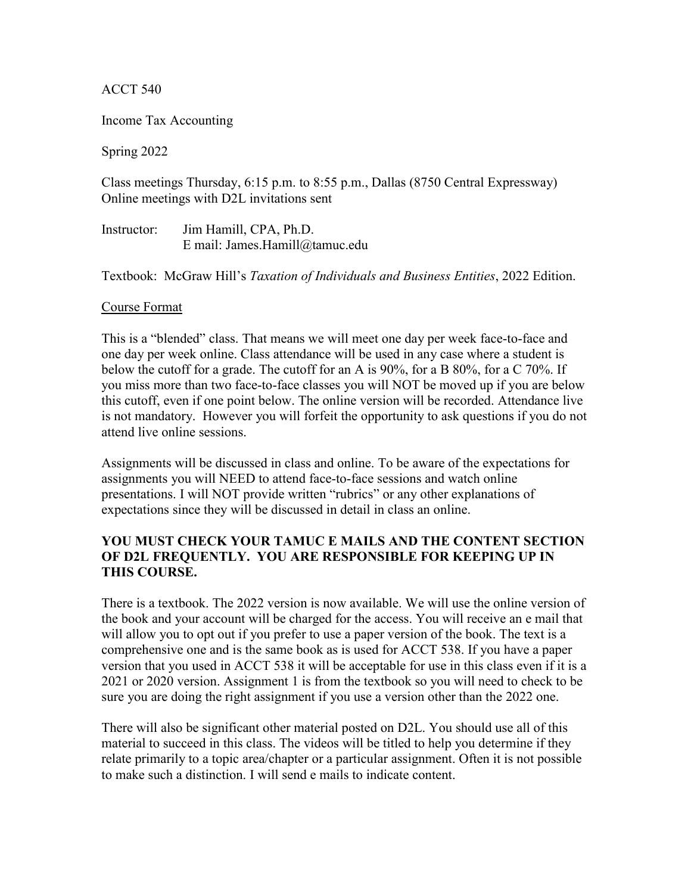ACCT 540

Income Tax Accounting

Spring 2022

Class meetings Thursday, 6:15 p.m. to 8:55 p.m., Dallas (8750 Central Expressway) Online meetings with D2L invitations sent

Instructor: Jim Hamill, CPA, Ph.D. E mail: James.Hamill@tamuc.edu

Textbook: McGraw Hill's *Taxation of Individuals and Business Entities*, 2022 Edition.

#### Course Format

This is a "blended" class. That means we will meet one day per week face-to-face and one day per week online. Class attendance will be used in any case where a student is below the cutoff for a grade. The cutoff for an A is 90%, for a B 80%, for a C 70%. If you miss more than two face-to-face classes you will NOT be moved up if you are below this cutoff, even if one point below. The online version will be recorded. Attendance live is not mandatory. However you will forfeit the opportunity to ask questions if you do not attend live online sessions.

Assignments will be discussed in class and online. To be aware of the expectations for assignments you will NEED to attend face-to-face sessions and watch online presentations. I will NOT provide written "rubrics" or any other explanations of expectations since they will be discussed in detail in class an online.

# **YOU MUST CHECK YOUR TAMUC E MAILS AND THE CONTENT SECTION OF D2L FREQUENTLY. YOU ARE RESPONSIBLE FOR KEEPING UP IN THIS COURSE.**

There is a textbook. The 2022 version is now available. We will use the online version of the book and your account will be charged for the access. You will receive an e mail that will allow you to opt out if you prefer to use a paper version of the book. The text is a comprehensive one and is the same book as is used for ACCT 538. If you have a paper version that you used in ACCT 538 it will be acceptable for use in this class even if it is a 2021 or 2020 version. Assignment 1 is from the textbook so you will need to check to be sure you are doing the right assignment if you use a version other than the 2022 one.

There will also be significant other material posted on D2L. You should use all of this material to succeed in this class. The videos will be titled to help you determine if they relate primarily to a topic area/chapter or a particular assignment. Often it is not possible to make such a distinction. I will send e mails to indicate content.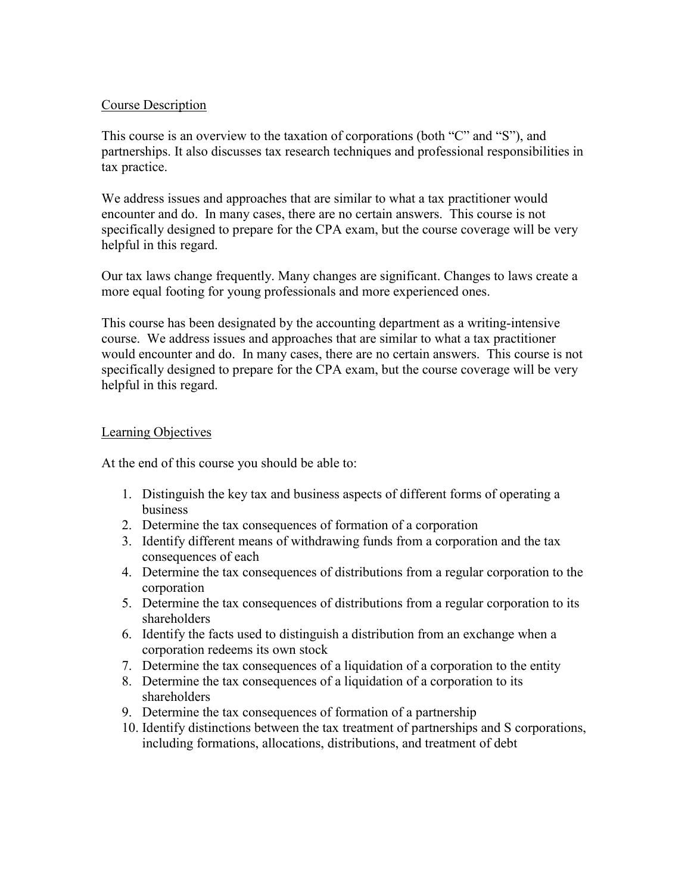## Course Description

This course is an overview to the taxation of corporations (both "C" and "S"), and partnerships. It also discusses tax research techniques and professional responsibilities in tax practice.

We address issues and approaches that are similar to what a tax practitioner would encounter and do. In many cases, there are no certain answers. This course is not specifically designed to prepare for the CPA exam, but the course coverage will be very helpful in this regard.

Our tax laws change frequently. Many changes are significant. Changes to laws create a more equal footing for young professionals and more experienced ones.

This course has been designated by the accounting department as a writing-intensive course. We address issues and approaches that are similar to what a tax practitioner would encounter and do. In many cases, there are no certain answers. This course is not specifically designed to prepare for the CPA exam, but the course coverage will be very helpful in this regard.

# Learning Objectives

At the end of this course you should be able to:

- 1. Distinguish the key tax and business aspects of different forms of operating a business
- 2. Determine the tax consequences of formation of a corporation
- 3. Identify different means of withdrawing funds from a corporation and the tax consequences of each
- 4. Determine the tax consequences of distributions from a regular corporation to the corporation
- 5. Determine the tax consequences of distributions from a regular corporation to its shareholders
- 6. Identify the facts used to distinguish a distribution from an exchange when a corporation redeems its own stock
- 7. Determine the tax consequences of a liquidation of a corporation to the entity
- 8. Determine the tax consequences of a liquidation of a corporation to its shareholders
- 9. Determine the tax consequences of formation of a partnership
- 10. Identify distinctions between the tax treatment of partnerships and S corporations, including formations, allocations, distributions, and treatment of debt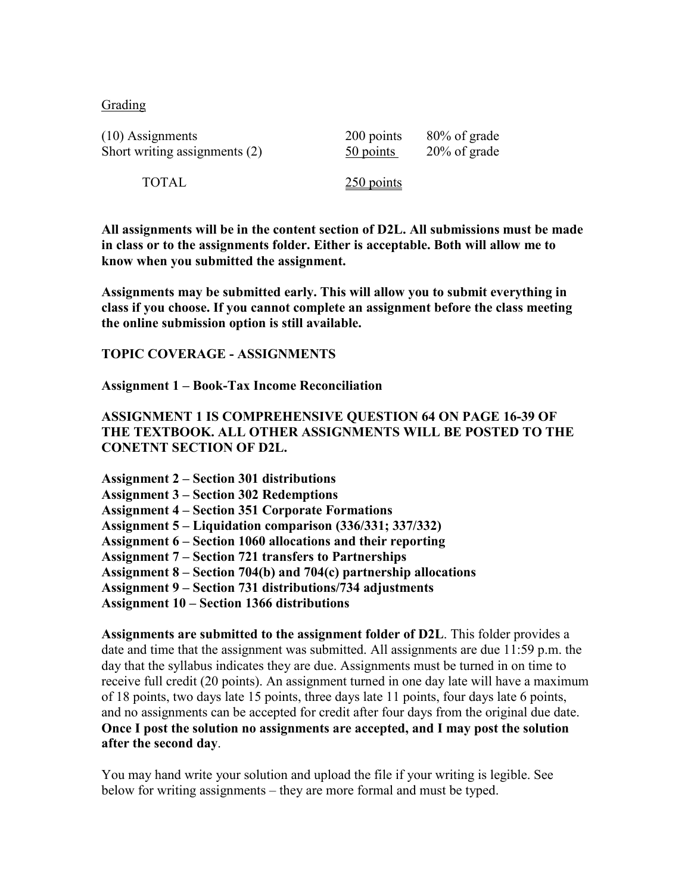**Grading** 

| $(10)$ Assignments            | 200 points   | 80% of grade    |
|-------------------------------|--------------|-----------------|
| Short writing assignments (2) | 50 points    | $20\%$ of grade |
| <b>TOTAL</b>                  | $250$ points |                 |

**All assignments will be in the content section of D2L. All submissions must be made in class or to the assignments folder. Either is acceptable. Both will allow me to know when you submitted the assignment.** 

**Assignments may be submitted early. This will allow you to submit everything in class if you choose. If you cannot complete an assignment before the class meeting the online submission option is still available.** 

**TOPIC COVERAGE - ASSIGNMENTS**

**Assignment 1 – Book-Tax Income Reconciliation**

**ASSIGNMENT 1 IS COMPREHENSIVE QUESTION 64 ON PAGE 16-39 OF THE TEXTBOOK. ALL OTHER ASSIGNMENTS WILL BE POSTED TO THE CONETNT SECTION OF D2L.**

| <b>Assignment 2 – Section 301 distributions</b>                    |
|--------------------------------------------------------------------|
| <b>Assignment 3 – Section 302 Redemptions</b>                      |
| <b>Assignment 4 – Section 351 Corporate Formations</b>             |
| Assignment 5 – Liquidation comparison (336/331; 337/332)           |
| Assignment 6 – Section 1060 allocations and their reporting        |
| <b>Assignment 7 – Section 721 transfers to Partnerships</b>        |
| Assignment $8 -$ Section 704(b) and 704(c) partnership allocations |
| <b>Assignment 9 – Section 731 distributions/734 adjustments</b>    |
| <b>Assignment 10 – Section 1366 distributions</b>                  |

**Assignments are submitted to the assignment folder of D2L**. This folder provides a date and time that the assignment was submitted. All assignments are due 11:59 p.m. the day that the syllabus indicates they are due. Assignments must be turned in on time to receive full credit (20 points). An assignment turned in one day late will have a maximum of 18 points, two days late 15 points, three days late 11 points, four days late 6 points, and no assignments can be accepted for credit after four days from the original due date. **Once I post the solution no assignments are accepted, and I may post the solution after the second day**.

You may hand write your solution and upload the file if your writing is legible. See below for writing assignments – they are more formal and must be typed.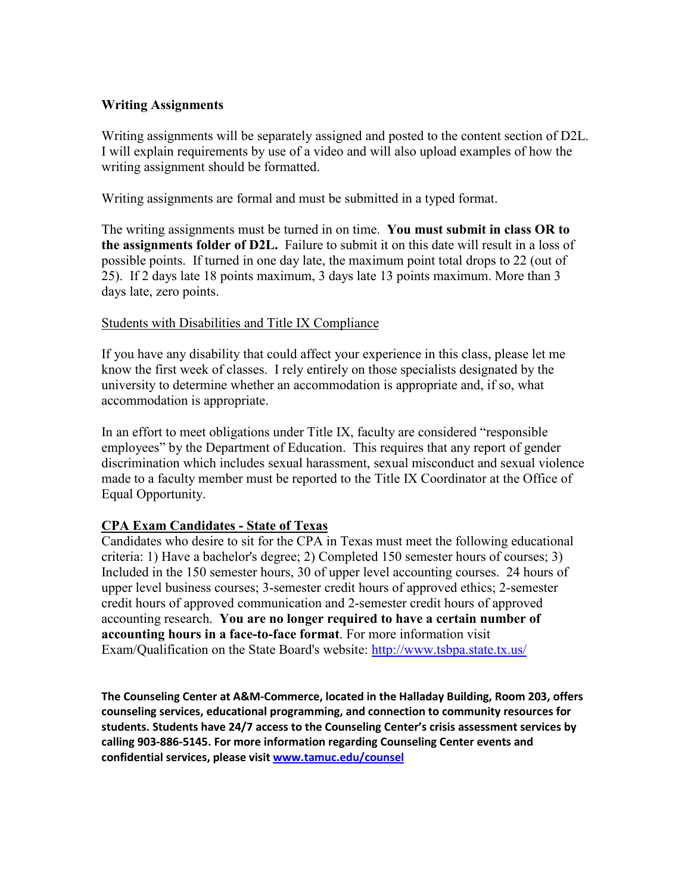# **Writing Assignments**

Writing assignments will be separately assigned and posted to the content section of D2L. I will explain requirements by use of a video and will also upload examples of how the writing assignment should be formatted.

Writing assignments are formal and must be submitted in a typed format.

The writing assignments must be turned in on time. **You must submit in class OR to the assignments folder of D2L.** Failure to submit it on this date will result in a loss of possible points. If turned in one day late, the maximum point total drops to 22 (out of 25). If 2 days late 18 points maximum, 3 days late 13 points maximum. More than 3 days late, zero points.

# Students with Disabilities and Title IX Compliance

If you have any disability that could affect your experience in this class, please let me know the first week of classes. I rely entirely on those specialists designated by the university to determine whether an accommodation is appropriate and, if so, what accommodation is appropriate.

In an effort to meet obligations under Title IX, faculty are considered "responsible employees" by the Department of Education. This requires that any report of gender discrimination which includes sexual harassment, sexual misconduct and sexual violence made to a faculty member must be reported to the Title IX Coordinator at the Office of Equal Opportunity.

# **CPA Exam Candidates - State of Texas**

Candidates who desire to sit for the CPA in Texas must meet the following educational criteria: 1) Have a bachelor's degree; 2) Completed 150 semester hours of courses; 3) Included in the 150 semester hours, 30 of upper level accounting courses. 24 hours of upper level business courses; 3-semester credit hours of approved ethics; 2-semester credit hours of approved communication and 2-semester credit hours of approved accounting research. **You are no longer required to have a certain number of accounting hours in a face-to-face format**. For more information visit Exam/Qualification on the State Board's website: [http://www.tsbpa.state.tx.us/](https://outlook.tamuc.edu/owa/redir.aspx?C=aPc9gzp7gJgvHT4DL5dIKuKZhpipbeozyiDaFDNx_dvJ0Qn_KmXWCA..&URL=http%3a%2f%2fwww.tsbpa.state.tx.us%2f)

**The Counseling Center at A&M-Commerce, located in the Halladay Building, Room 203, offers counseling services, educational programming, and connection to community resources for students. Students have 24/7 access to the Counseling Center's crisis assessment services by calling 903-886-5145. For more information regarding Counseling Center events and confidential services, please visit [www.tamuc.edu/counsel](https://outlook.tamuc.edu/owa/redir.aspx?C=2G5ASGhEQXYZWiauaPNLLqDj87EO9VXRjjg-bBYi2DaG_Daqu1bZCA..&URL=http%3a%2f%2fwww.tamuc.edu%2fcounsel)**